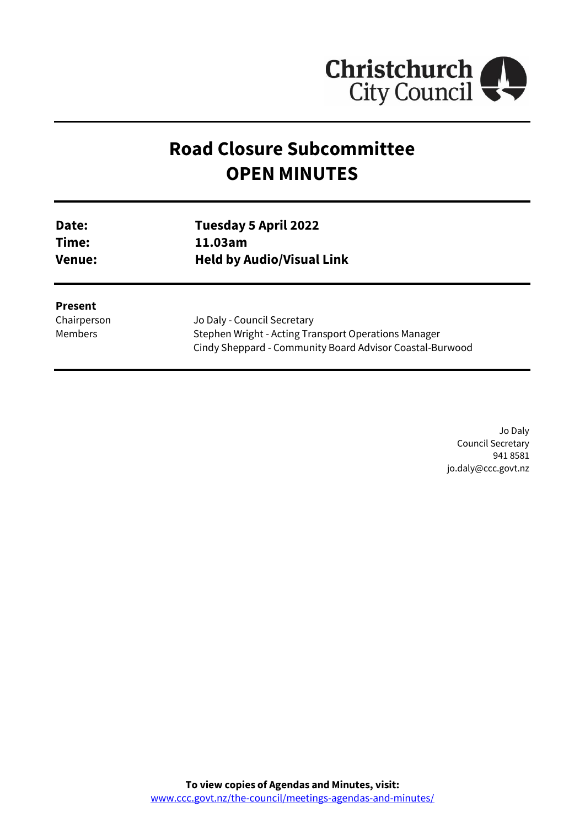

# **Road Closure Subcommittee OPEN MINUTES**

| Date:         | Tuesday 5 April 2022             |
|---------------|----------------------------------|
| Time:         | 11.03am                          |
| <b>Venue:</b> | <b>Held by Audio/Visual Link</b> |
|               |                                  |

**Present** Chairperson Members

Jo Daly - Council Secretary Stephen Wright - Acting Transport Operations Manager Cindy Sheppard - Community Board Advisor Coastal-Burwood

> Jo Daly Council Secretary 941 8581 jo.daly@ccc.govt.nz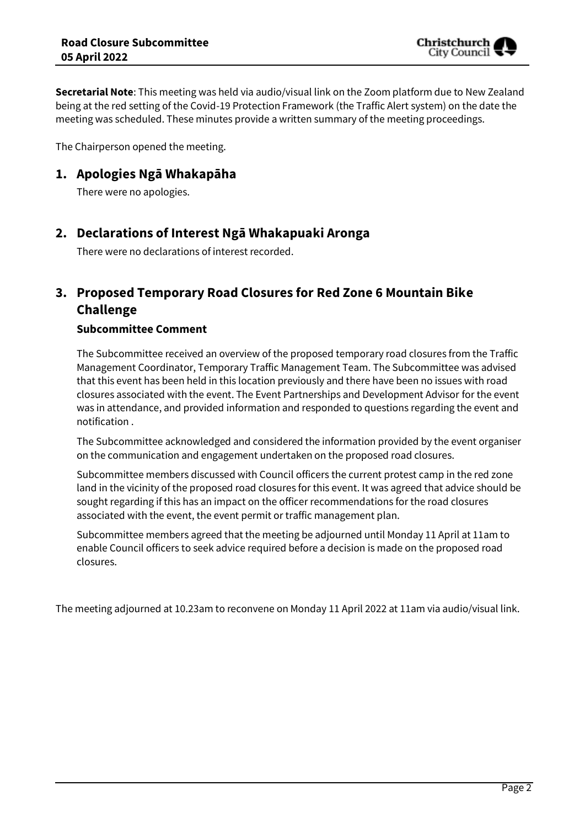**Secretarial Note**: This meeting was held via audio/visual link on the Zoom platform due to New Zealand being at the red setting of the Covid-19 Protection Framework (the Traffic Alert system) on the date the meeting was scheduled. These minutes provide a written summary of the meeting proceedings.

The Chairperson opened the meeting.

## **1. Apologies Ngā Whakapāha**

There were no apologies.

## **2. Declarations of Interest Ngā Whakapuaki Aronga**

There were no declarations of interest recorded.

## **3. Proposed Temporary Road Closures for Red Zone 6 Mountain Bike Challenge**

## **Subcommittee Comment**

The Subcommittee received an overview of the proposed temporary road closures from the Traffic Management Coordinator, Temporary Traffic Management Team. The Subcommittee was advised that this event has been held in this location previously and there have been no issues with road closures associated with the event. The Event Partnerships and Development Advisor for the event was in attendance, and provided information and responded to questions regarding the event and notification .

The Subcommittee acknowledged and considered the information provided by the event organiser on the communication and engagement undertaken on the proposed road closures.

Subcommittee members discussed with Council officers the current protest camp in the red zone land in the vicinity of the proposed road closures for this event. It was agreed that advice should be sought regarding if this has an impact on the officer recommendations for the road closures associated with the event, the event permit or traffic management plan.

Subcommittee members agreed that the meeting be adjourned until Monday 11 April at 11am to enable Council officers to seek advice required before a decision is made on the proposed road closures.

The meeting adjourned at 10.23am to reconvene on Monday 11 April 2022 at 11am via audio/visual link.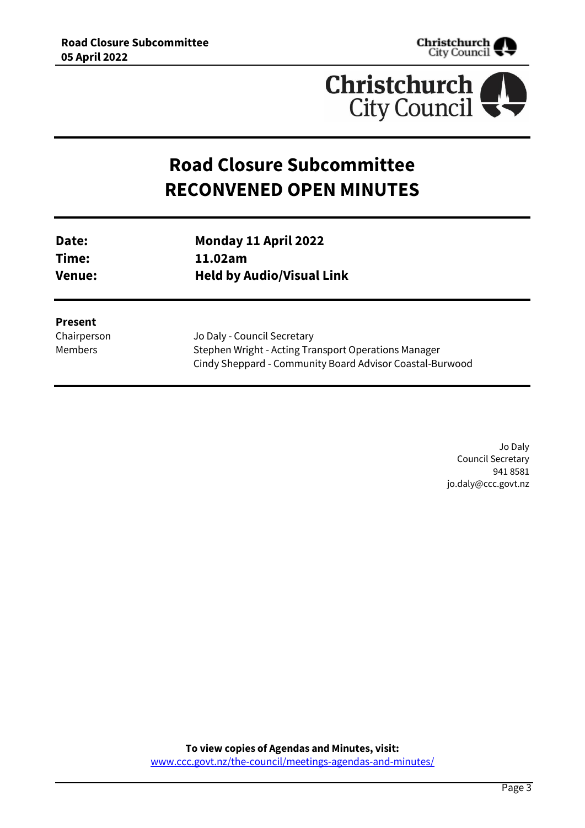



# **Road Closure Subcommittee RECONVENED OPEN MINUTES**

| Date:         | Monday 11 April 2022             |
|---------------|----------------------------------|
| Time:         | 11.02am                          |
| <b>Venue:</b> | <b>Held by Audio/Visual Link</b> |

#### **Present**

Chairperson Members

Jo Daly - Council Secretary Stephen Wright - Acting Transport Operations Manager Cindy Sheppard - Community Board Advisor Coastal-Burwood

> Jo Daly Council Secretary 941 8581 jo.daly@ccc.govt.nz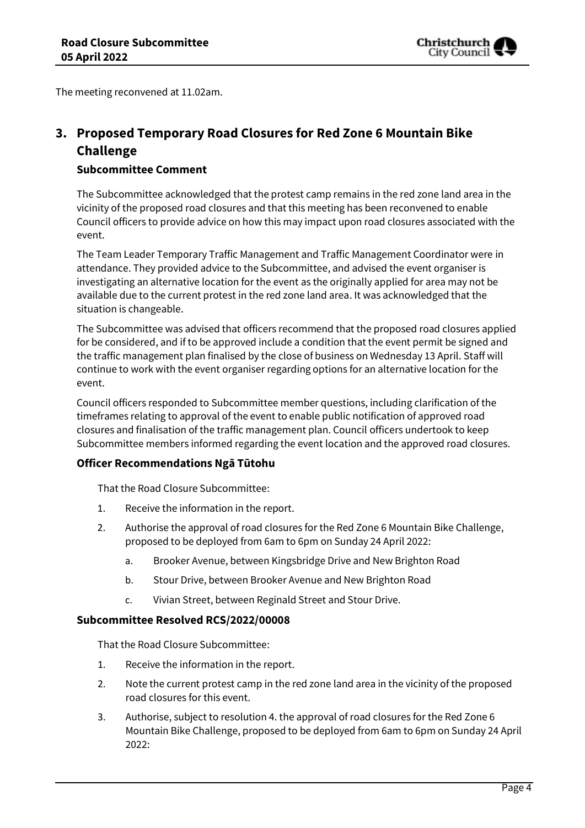

The meeting reconvened at 11.02am.

## **3. Proposed Temporary Road Closures for Red Zone 6 Mountain Bike Challenge**

## **Subcommittee Comment**

The Subcommittee acknowledged that the protest camp remains in the red zone land area in the vicinity of the proposed road closures and that this meeting has been reconvened to enable Council officers to provide advice on how this may impact upon road closures associated with the event.

The Team Leader Temporary Traffic Management and Traffic Management Coordinator were in attendance. They provided advice to the Subcommittee, and advised the event organiser is investigating an alternative location for the event as the originally applied for area may not be available due to the current protest in the red zone land area. It was acknowledged that the situation is changeable.

The Subcommittee was advised that officers recommend that the proposed road closures applied for be considered, and if to be approved include a condition that the event permit be signed and the traffic management plan finalised by the close of business on Wednesday 13 April. Staff will continue to work with the event organiser regarding options for an alternative location for the event.

Council officers responded to Subcommittee member questions, including clarification of the timeframes relating to approval of the event to enable public notification of approved road closures and finalisation of the traffic management plan. Council officers undertook to keep Subcommittee members informed regarding the event location and the approved road closures.

#### **Officer Recommendations Ngā Tūtohu**

That the Road Closure Subcommittee:

- 1. Receive the information in the report.
- 2. Authorise the approval of road closures for the Red Zone 6 Mountain Bike Challenge, proposed to be deployed from 6am to 6pm on Sunday 24 April 2022:
	- a. Brooker Avenue, between Kingsbridge Drive and New Brighton Road
	- b. Stour Drive, between Brooker Avenue and New Brighton Road
	- c. Vivian Street, between Reginald Street and Stour Drive.

## **Subcommittee Resolved RCS/2022/00008**

That the Road Closure Subcommittee:

- 1. Receive the information in the report.
- 2. Note the current protest camp in the red zone land area in the vicinity of the proposed road closures for this event.
- 3. Authorise, subject to resolution 4. the approval of road closures for the Red Zone 6 Mountain Bike Challenge, proposed to be deployed from 6am to 6pm on Sunday 24 April 2022: